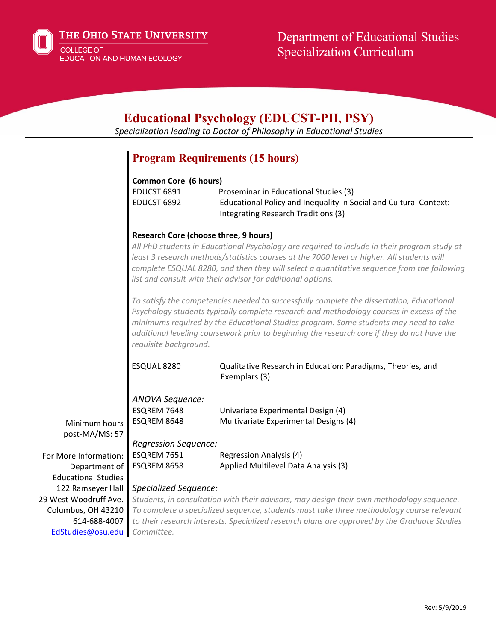

| <b>Educational Psychology (EDUCST-PH, PSY)</b><br>Specialization leading to Doctor of Philosophy in Educational Studies |                                                                                                                                                                                                                                                                                                                                                                                                                                                                                                                                                                                                                                                                                                                                                                                                                  |                                                                                                                                                   |  |  |
|-------------------------------------------------------------------------------------------------------------------------|------------------------------------------------------------------------------------------------------------------------------------------------------------------------------------------------------------------------------------------------------------------------------------------------------------------------------------------------------------------------------------------------------------------------------------------------------------------------------------------------------------------------------------------------------------------------------------------------------------------------------------------------------------------------------------------------------------------------------------------------------------------------------------------------------------------|---------------------------------------------------------------------------------------------------------------------------------------------------|--|--|
|                                                                                                                         |                                                                                                                                                                                                                                                                                                                                                                                                                                                                                                                                                                                                                                                                                                                                                                                                                  | <b>Program Requirements (15 hours)</b>                                                                                                            |  |  |
|                                                                                                                         | <b>Common Core (6 hours)</b><br>EDUCST 6891<br>EDUCST 6892                                                                                                                                                                                                                                                                                                                                                                                                                                                                                                                                                                                                                                                                                                                                                       | Proseminar in Educational Studies (3)<br>Educational Policy and Inequality in Social and Cultural Context:<br>Integrating Research Traditions (3) |  |  |
|                                                                                                                         |                                                                                                                                                                                                                                                                                                                                                                                                                                                                                                                                                                                                                                                                                                                                                                                                                  |                                                                                                                                                   |  |  |
|                                                                                                                         | <b>Research Core (choose three, 9 hours)</b><br>All PhD students in Educational Psychology are required to include in their program study at<br>least 3 research methods/statistics courses at the 7000 level or higher. All students will<br>complete ESQUAL 8280, and then they will select a quantitative sequence from the following<br>list and consult with their advisor for additional options.<br>To satisfy the competencies needed to successfully complete the dissertation, Educational<br>Psychology students typically complete research and methodology courses in excess of the<br>minimums required by the Educational Studies program. Some students may need to take<br>additional leveling coursework prior to beginning the research core if they do not have the<br>requisite background. |                                                                                                                                                   |  |  |
|                                                                                                                         |                                                                                                                                                                                                                                                                                                                                                                                                                                                                                                                                                                                                                                                                                                                                                                                                                  |                                                                                                                                                   |  |  |
|                                                                                                                         | ESQUAL 8280                                                                                                                                                                                                                                                                                                                                                                                                                                                                                                                                                                                                                                                                                                                                                                                                      | Qualitative Research in Education: Paradigms, Theories, and<br>Exemplars (3)                                                                      |  |  |
| Minimum hours                                                                                                           | ANOVA Sequence:<br>ESQREM 7648<br>ESQREM 8648                                                                                                                                                                                                                                                                                                                                                                                                                                                                                                                                                                                                                                                                                                                                                                    | Univariate Experimental Design (4)<br>Multivariate Experimental Designs (4)                                                                       |  |  |
| post-MA/MS: 57                                                                                                          |                                                                                                                                                                                                                                                                                                                                                                                                                                                                                                                                                                                                                                                                                                                                                                                                                  |                                                                                                                                                   |  |  |
| For More Information:                                                                                                   | <b>Regression Sequence:</b><br>ESQREM 7651                                                                                                                                                                                                                                                                                                                                                                                                                                                                                                                                                                                                                                                                                                                                                                       | <b>Regression Analysis (4)</b>                                                                                                                    |  |  |
| Department of                                                                                                           | ESQREM 8658                                                                                                                                                                                                                                                                                                                                                                                                                                                                                                                                                                                                                                                                                                                                                                                                      | Applied Multilevel Data Analysis (3)                                                                                                              |  |  |
| <b>Educational Studies</b>                                                                                              |                                                                                                                                                                                                                                                                                                                                                                                                                                                                                                                                                                                                                                                                                                                                                                                                                  |                                                                                                                                                   |  |  |
| 122 Ramseyer Hall                                                                                                       | <b>Specialized Sequence:</b>                                                                                                                                                                                                                                                                                                                                                                                                                                                                                                                                                                                                                                                                                                                                                                                     |                                                                                                                                                   |  |  |
| 29 West Woodruff Ave.                                                                                                   | Students, in consultation with their advisors, may design their own methodology sequence.                                                                                                                                                                                                                                                                                                                                                                                                                                                                                                                                                                                                                                                                                                                        |                                                                                                                                                   |  |  |
| Columbus, OH 43210                                                                                                      | To complete a specialized sequence, students must take three methodology course relevant                                                                                                                                                                                                                                                                                                                                                                                                                                                                                                                                                                                                                                                                                                                         |                                                                                                                                                   |  |  |
| 614-688-4007                                                                                                            | to their research interests. Specialized research plans are approved by the Graduate Studies                                                                                                                                                                                                                                                                                                                                                                                                                                                                                                                                                                                                                                                                                                                     |                                                                                                                                                   |  |  |